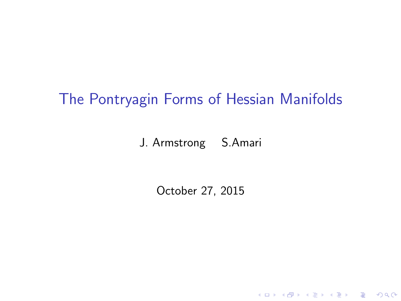## The Pontryagin Forms of Hessian Manifolds

J. Armstrong S.Amari

October 27, 2015

K ロ ▶ K @ ▶ K 할 ▶ K 할 ▶ | 할 | ⊙Q @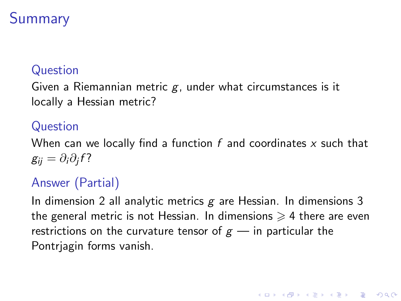# **Summary**

### Question

Given a Riemannian metric  $g$ , under what circumstances is it locally a Hessian metric?

### Question

When can we locally find a function  $f$  and coordinates  $x$  such that  $g_{ij}=\partial_i\partial_jf$ ?

## Answer (Partial)

In dimension 2 all analytic metrics  $g$  are Hessian. In dimensions 3 the general metric is not Hessian. In dimensions  $\geq 4$  there are even restrictions on the curvature tensor of  $g$  — in particular the Pontrjagin forms vanish.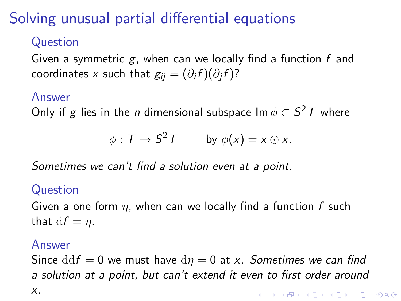# Solving unusual partial differential equations

### Question

Given a symmetric  $g$ , when can we locally find a function  $f$  and coordinates  $x$  such that  $\displaystyle{g_{ij}=(\partial_i f)(\partial_j f) }$ ?

#### Answer

Only if  $g$  lies in the  $n$  dimensional subspace Im  $\phi \subset S^2 \, T$  where

$$
\phi: T \to S^2 T \qquad \text{by } \phi(x) = x \odot x.
$$

Sometimes we can't find a solution even at a point.

### Question

Given a one form  $\eta$ , when can we locally find a function f such that  $df = \eta$ .

#### Answer

Since  $\mathrm{d} \mathrm{d} f = 0$  we must have  $\mathrm{d} \eta = 0$  at x. Sometimes we can find a solution at a point, but can't extend it even to first order around x.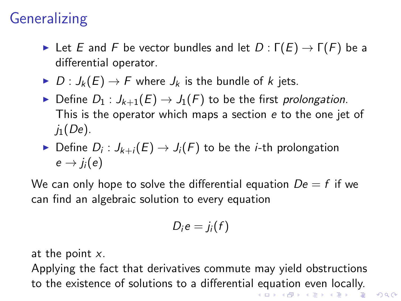# **Generalizing**

- Exector bundles and let  $D : \Gamma(E) \to \Gamma(F)$  be a differential operator.
- $D: J_k(E) \to F$  where  $J_k$  is the bundle of k jets.
- Define  $D_1: J_{k+1}(E) \to J_1(F)$  to be the first prolongation. This is the operator which maps a section e to the one jet of  $i<sub>1</sub>(De)$ .
- $\blacktriangleright$  Define  $D_i: J_{k+i}(E) \to J_i(F)$  to be the *i*-th prolongation  $e \rightarrow j_i(e)$

We can only hope to solve the differential equation  $De = f$  if we can find an algebraic solution to every equation

$$
D_i e = j_i(f)
$$

at the point  $x$ .

Applying the fact that derivatives commute may yield obstructions to the existence of solutions to a differential equation even locally.K ロ > K @ > K 할 > K 할 > → 할 → ⊙ Q Q\*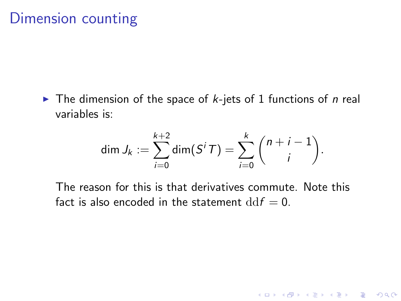$\blacktriangleright$  The dimension of the space of *k*-jets of 1 functions of *n* real variables is:

$$
\dim J_k := \sum_{i=0}^{k+2} \dim(S^i T) = \sum_{i=0}^k {n+i-1 \choose i}.
$$

K ロ ▶ K @ ▶ K 할 > K 할 > 1 할 > 1 이익어

The reason for this is that derivatives commute. Note this fact is also encoded in the statement  $\mathrm{d} \mathrm{d} f = 0$ .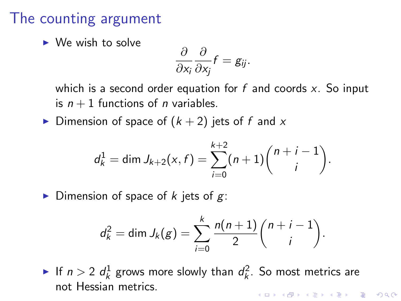## The counting argument

 $\triangleright$  We wish to solve

$$
\frac{\partial}{\partial x_i}\frac{\partial}{\partial x_j}f=g_{ij}.
$$

which is a second order equation for  $f$  and coords  $x$ . So input is  $n + 1$  functions of *n* variables.

Dimension of space of  $(k + 2)$  jets of f and x

$$
d_k^1 = \dim J_{k+2}(x, f) = \sum_{i=0}^{k+2} (n+1) {n+i-1 \choose i}.
$$

Dimension of space of k jets of  $g$ :

$$
d_k^2 = \dim J_k(g) = \sum_{i=0}^k \frac{n(n+1)}{2} {n+i-1 \choose i}.
$$

If  $n > 2$   $d_k^1$  grows more slowly than  $d_k^2$ . So most metrics are not Hessian metrics.**K ロ ▶ K @ ▶ K 할 X X 할 X 및 할 X X Q Q O**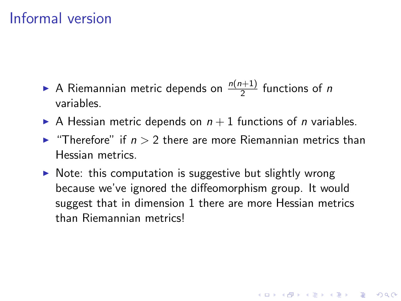# Informal version

- A Riemannian metric depends on  $\frac{n(n+1)}{2}$  functions of n variables.
- A Hessian metric depends on  $n + 1$  functions of *n* variables.
- **In** "Therefore" if  $n > 2$  there are more Riemannian metrics than Hessian metrics.
- $\triangleright$  Note: this computation is suggestive but slightly wrong because we've ignored the diffeomorphism group. It would suggest that in dimension 1 there are more Hessian metrics than Riemannian metrics!

4 D > 4 P + 4 B + 4 B + B + 9 Q O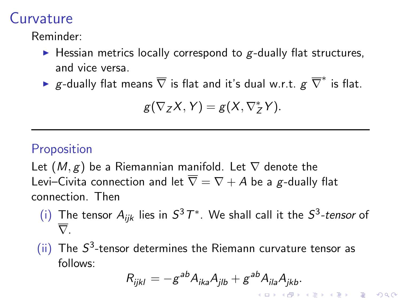## Curvature

Reminder:

- $\blacktriangleright$  Hessian metrics locally correspond to g-dually flat structures, and vice versa.
- ►  $g$ -dually flat means  $\overline{\nabla}$  is flat and it's dual w.r.t.  $g\;\overline{\nabla}^*$  is flat.

$$
g(\nabla_Z X, Y) = g(X, \nabla_Z^* Y).
$$

### **Proposition**

Let  $(M, g)$  be a Riemannian manifold. Let  $\nabla$  denote the Levi–Civita connection and let  $\overline{\nabla} = \nabla + A$  be a g-dually flat connection. Then

- (i) The tensor  $A_{ijk}$  lies in  $S^3T^*$ . We shall call it the  $S^3$ -tensor of  $\overline{\nabla}$ .
- (ii) The  $S^3$ -tensor determines the Riemann curvature tensor as follows:

$$
R_{ijkl} = -g^{ab}A_{ika}A_{jlb} + g^{ab}A_{ila}A_{jkb}.
$$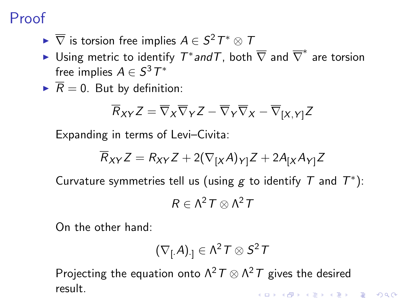# <span id="page-8-0"></span>Proof

- $\blacktriangleright \overline{\nabla}$  is torsion free implies  $A \in S^2 \, T^* \otimes T$
- ► Using metric to identify  $\mathcal{T}^*$ and $\mathcal{T}$ , both  $\overline{\nabla}$  and  $\overline{\nabla}^*$  are torsion free implies  $A\in S^3T^*$
- $\overline{R} = 0$ . But by definition:

$$
\overline{R}_{XY}Z = \overline{\nabla}_X \overline{\nabla}_Y Z - \overline{\nabla}_Y \overline{\nabla}_X - \overline{\nabla}_{[X,Y]}Z
$$

Expanding in terms of Levi–Civita:

$$
\overline{R}_{XY}Z = R_{XY}Z + 2(\nabla_{[X}A)_{Y]}Z + 2A_{[X}A_{Y]}Z
$$

Curvature symmetries tell us (using  $g$  to identify  $T$  and  $T^*$ ):

$$
R\in \Lambda^2\,\mathcal{T}\otimes \Lambda^2\,\mathcal{T}
$$

On the other hand:

$$
\left(\nabla_{[.}A)_{.]} \in \Lambda^2\, \mathcal{T} \otimes S^2\, \mathcal{T}
$$

Projecting the equation onto  $\Lambda^2\, \mathcal{T} \otimes \Lambda^2\, \mathcal{T}$  gives the desired result.KID KA KERKER KID KO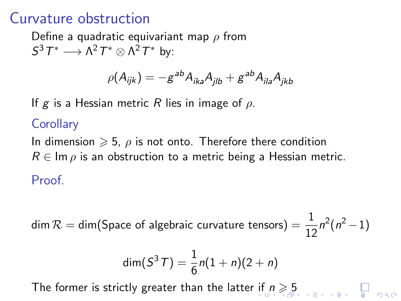## <span id="page-9-0"></span>Curvature obstruction

Define a quadratic equivariant map  $\rho$  from  $S^3 T^* \longrightarrow \Lambda^2 T^* \otimes \Lambda^2 T^*$  by:

$$
\rho(A_{ijk}) = -g^{ab}A_{ika}A_{jlb} + g^{ab}A_{ila}A_{jkb}
$$

If g is a Hessian metric R lies in image of  $\rho$ .

#### **Corollary**

In dimension  $\geqslant 5$ ,  $\rho$  is not onto. Therefore there condition  $R \in \text{Im } \rho$  is an obstruction to a metric being a Hessian metric. Proof.

 $\textsf{dim}\,\mathcal{R}=\textsf{dim}(\mathsf{Space}\,\,\text{of}\,\,\text{algebraic}\,\,\text{curvature}\,\,\text{tensors})=\frac{1}{12}n^2(n^2-1)$ 

$$
\dim(S^3T) = \frac{1}{6}n(1+n)(2+n)
$$

The former is strictly greater than the latter [if](#page-8-0)  $n \geqslant 5$  $n \geqslant 5$  $n \geqslant 5$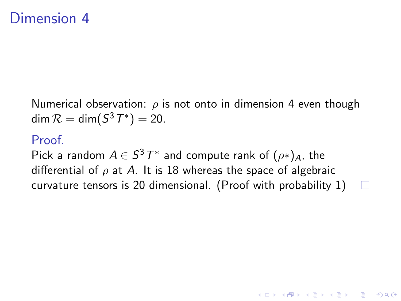## <span id="page-10-0"></span>Dimension 4

Numerical observation:  $\rho$  is not onto in dimension 4 even though dim  $\mathcal{R} = \dim(\mathcal{S}^3T^*) = 20$ .

#### Proof.

Pick a random  $A\in S^3\, T^*$  and compute rank of  $(\rho*)_A$ , the differential of  $\rho$  at A. It is 18 whereas the space of algebraic curvature tensors is 20 dimensional. (Proof with probability 1) $\Box$ 

**KORK ERKER ADE YOUR**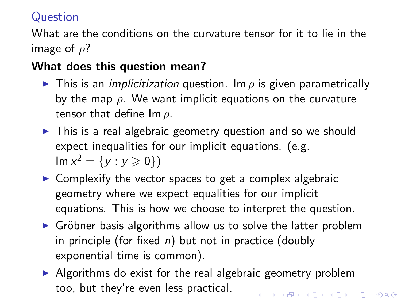### Question

What are the conditions on the curvature tensor for it to lie in the image of  $\rho$ ?

### What does this question mean?

- **This is an implicitization question.** Im  $\rho$  is given parametrically by the map  $\rho$ . We want implicit equations on the curvature tensor that define  $\text{Im } \rho$ .
- $\triangleright$  This is a real algebraic geometry question and so we should expect inequalities for our implicit equations. (e.g.  $\text{Im } x^2 = \{y : y \ge 0\}$
- $\triangleright$  Complexify the vector spaces to get a complex algebraic geometry where we expect equalities for our implicit equations. This is how we choose to interpret the question.
- $\triangleright$  Gröbner basis algorithms allow us to solve the latter problem in principle (for fixed  $n$ ) but not in practice (doubly exponential time is common).
- $\triangleright$  Algorithms do exist for the real algebraic geometry problem too, but they're even less practical.**KORK (FRAGE) EL POLO**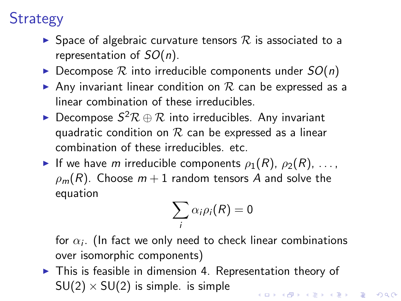# **Strategy**

- $\triangleright$  Space of algebraic curvature tensors  $\mathcal R$  is associated to a representation of  $SO(n)$ .
- $\triangleright$  Decompose  $\mathcal R$  into irreducible components under  $SO(n)$
- Any invariant linear condition on  $R$  can be expressed as a linear combination of these irreducibles.
- ▶ Decompose  $S^2\mathcal{R} \oplus \mathcal{R}$  into irreducibles. Any invariant quadratic condition on  $R$  can be expressed as a linear combination of these irreducibles. etc.
- If we have m irreducible components  $\rho_1(R)$ ,  $\rho_2(R)$ , ...,  $\rho_m(R)$ . Choose  $m+1$  random tensors A and solve the equation

$$
\sum_i \alpha_i \rho_i(R) = 0
$$

for  $\alpha_i.$  (In fact we only need to check linear combinations over isomorphic components)

 $\triangleright$  This is feasible in dimension 4. Representation theory of  $SU(2) \times SU(2)$  is simple. is simple **KORK (FRAGE) EL POLO**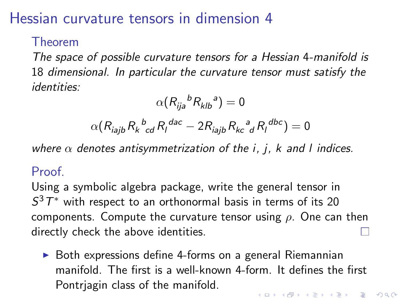## Hessian curvature tensors in dimension 4

### Theorem

The space of possible curvature tensors for a Hessian 4-manifold is 18 dimensional. In particular the curvature tensor must satisfy the identities:

$$
\alpha(R_{ija}{}^b R_{klb}{}^a) = 0
$$

$$
\alpha(R_{\mathit{iajb}}R_{k\ \mathit{cd}}^{b}R_{l}^{~\mathit{dac}}-2R_{\mathit{iajb}}R_{k\mathit{c}}^{~a}_{~d}R_{l}^{~\mathit{dbc}})=0
$$

where  $\alpha$  denotes antisymmetrization of the i, j, k and l indices.

### Proof.

Using a symbolic algebra package, write the general tensor in  $S^3 T^*$  with respect to an orthonormal basis in terms of its 20 components. Compute the curvature tensor using  $\rho$ . One can then directly check the above identities.

 $\triangleright$  Both expressions define 4-forms on a general Riemannian manifold. The first is a well-known 4-form. It defines the first Pontrjagin class of the manifold.4 D > 4 P + 4 B + 4 B + B + 9 Q O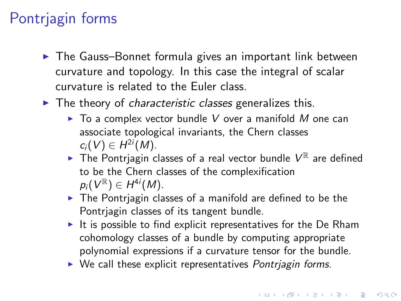# Pontrjagin forms

- $\blacktriangleright$  The Gauss–Bonnet formula gives an important link between curvature and topology. In this case the integral of scalar curvature is related to the Euler class.
- $\blacktriangleright$  The theory of *characteristic classes* generalizes this.
	- $\triangleright$  To a complex vector bundle V over a manifold M one can associate topological invariants, the Chern classes  $c_i(V) \in H^{2i}(M)$ .
	- $\blacktriangleright$  The Pontrjagin classes of a real vector bundle  $V^{\mathbb{R}}$  are defined to be the Chern classes of the complexification  $p_i(V^{\mathbb{R}}) \in H^{4i}(M)$ .
	- $\triangleright$  The Pontriagin classes of a manifold are defined to be the Pontrjagin classes of its tangent bundle.
	- $\triangleright$  It is possible to find explicit representatives for the De Rham cohomology classes of a bundle by computing appropriate polynomial expressions if a curvature tensor for the bundle.
	- $\triangleright$  We call these explicit representatives Pontriagin forms.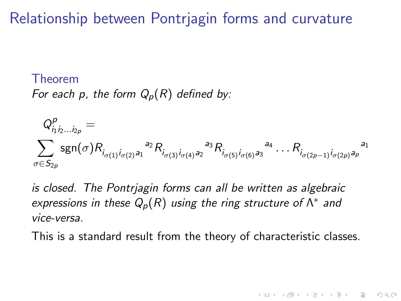## Relationship between Pontrjagin forms and curvature

#### Theorem

For each p, the form  $Q_p(R)$  defined by:

$$
Q_{i_1 i_2 ... i_{2p}}^p = \sum_{\sigma \in S_{2p}} sgn(\sigma) R_{i_{\sigma(1)} i_{\sigma(2)} a_1}^{p} R_{i_{\sigma(3)} i_{\sigma(4)} a_2}^{p} R_{i_{\sigma(5)} i_{\sigma(6)} a_3}^{p} A_{\cdots} R_{i_{\sigma(2p-1)} i_{\sigma(2p)} a_p}^{p}
$$

is closed. The Pontrjagin forms can all be written as algebraic expressions in these  $Q_p(R)$  using the ring structure of  $\Lambda^*$  and vice-versa.

This is a standard result from the theory of characteristic classes.

**KORK ERKER ADE YOUR**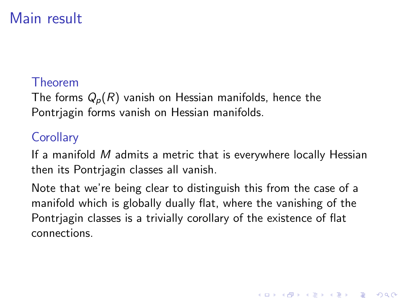# Main result

### Theorem

The forms  $Q_p(R)$  vanish on Hessian manifolds, hence the Pontrjagin forms vanish on Hessian manifolds.

## **Corollary**

If a manifold M admits a metric that is everywhere locally Hessian then its Pontrjagin classes all vanish.

Note that we're being clear to distinguish this from the case of a manifold which is globally dually flat, where the vanishing of the Pontrjagin classes is a trivially corollary of the existence of flat connections.

**K ロ ▶ K @ ▶ K 할 X X 할 X 및 할 X X Q Q O**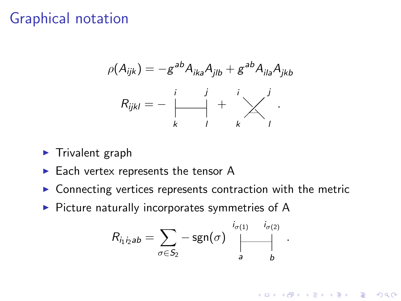## Graphical notation

$$
\rho(A_{ijk}) = -g^{ab}A_{ika}A_{jlb} + g^{ab}A_{ila}A_{jkb}
$$

$$
R_{ijkl} = -\begin{vmatrix} i & j & i \\ & | & | & j \\ k & 1 & k & l \end{vmatrix}.
$$

- $\blacktriangleright$  Trivalent graph
- $\blacktriangleright$  Each vertex represents the tensor A
- $\triangleright$  Connecting vertices represents contraction with the metric
- $\triangleright$  Picture naturally incorporates symmetries of A

$$
R_{i_1 i_2 ab} = \sum_{\sigma \in S_2} -\operatorname{sgn}(\sigma) \bigwedge_{a}^{i_{\sigma(1)}} \bigwedge_{b}^{i_{\sigma(2)}}
$$

.

**K ロ ▶ K @ ▶ K 할 X X 할 X 및 할 X X Q Q O**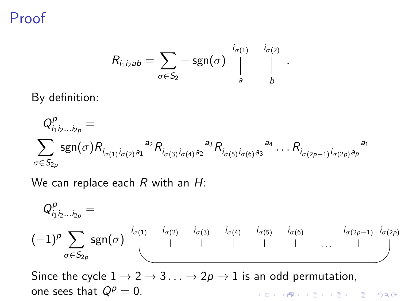Proof

$$
R_{i_1 i_2 ab} = \sum_{\sigma \in S_2} -\operatorname{sgn}(\sigma) \bigwedge_{a}^{i_{\sigma(1)}} \biguplus_{b}^{i_{\sigma(2)}}
$$

.

By definition:

$$
Q_{i_1 i_2 ... i_{2p}}^p = \sum_{\sigma \in S_{2p}} sgn(\sigma) R_{i_{\sigma(1)} i_{\sigma(2)} a_1}^{a_1 a_2} R_{i_{\sigma(3)} i_{\sigma(4)} a_2}^{a_3} R_{i_{\sigma(5)} i_{\sigma(6)} a_3}^{a_4} ... R_{i_{\sigma(2p-1)} i_{\sigma(2p)} a_p}^{a_1 a_2 a_2} \dots
$$

We can replace each  $R$  with an  $H$ :

$$
Q_{i_1 i_2 \ldots i_{2p}}^p = \n\left(-1\right)^p \sum_{\sigma \in S_{2p}} \text{sgn}(\sigma) \bigcup_{\sigma(1)}^{i_{\sigma(1)}} \bigcup_{\sigma(2)}^{i_{\sigma(2)}} \bigcup_{\sigma(3)}^{i_{\sigma(3)}} \bigcup_{\sigma(4)}^{i_{\sigma(4)}} \bigcup_{\sigma(5)}^{i_{\sigma(5)}} \bigcup_{\sigma(6)}^{i_{\sigma(6)}} \bigcup_{\sigma(2p-1)}^{i_{\sigma(2p-1)}} \bigcap_{\sigma(2p)}^{i_{\sigma(4)}} \bigcap_{\sigma(5)}^{i_{\sigma(6)}} \bigcap_{\sigma(6)}^{i_{\sigma(6)}} \bigcap_{\sigma(6)}^{i_{\sigma(6)}} \bigcap_{\sigma(7)}^{i_{\sigma(7)}} \bigcap_{\sigma(8)}^{i_{\sigma(8)}} \bigcap_{\sigma(9)}^{i_{\sigma(9)}} \bigcap_{\sigma(9)}^{i_{\sigma(9)}} \bigcap_{\sigma(1)}^{i_{\sigma(9)}} \bigcap_{\sigma(1)}^{i_{\sigma(9)}} \bigcap_{\sigma(1)}^{i_{\sigma(9)}} \bigcap_{\sigma(1)}^{i_{\sigma(9)}} \bigcap_{\sigma(1)}^{i_{\sigma(9)}} \bigcap_{\sigma(1)}^{i_{\sigma(9)}} \bigcap_{\sigma(1)}^{i_{\sigma(9)}} \bigcap_{\sigma(1)}^{i_{\sigma(9)}} \bigcap_{\sigma(1)}^{i_{\sigma(9)}} \bigcap_{\sigma(1)}^{i_{\sigma(9)}} \bigcap_{\sigma(1)}^{i_{\sigma(9)}} \bigcap_{\sigma(1)}^{i_{\sigma(9)}} \bigcap_{\sigma(1)}^{i_{\sigma(9)}} \bigcap_{\sigma(1)}^{i_{\sigma(9)}} \bigcap_{\sigma(1)}^{i_{\sigma(9)}} \bigcap_{\sigma(1)}^{i_{\sigma(9)}} \bigcap_{\sigma(1)}^{i_{\sigma(9)}} \bigcap_{\sigma(1)}^{i_{\sigma(9)}} \bigcap_{\sigma(1)}^{i_{\sigma(9)}} \bigcap_{\sigma(1)}^{i_{\sigma(9)}} \bigcap_{\sigma(1)}^{i_{\sigma(9)}} \bigcap_{\sigma(1)}^{i_{\sigma(9)}} \bigcap_{\sigma(1)}^{i_{\sigma(9)}} \bigcap_{\sigma(1)}^{i_{\sigma(9)}} \bigcap_{\sigma(1)}^{i_{\sigma(9)}} \bigcap_{\sigma(1)}^{i_{\sigma(9)}} \bigcap_{\
$$

Since the cycle  $1 \rightarrow 2 \rightarrow 3 \dots \rightarrow 2p \rightarrow 1$  is an odd permutation, one sees that  $Q^p = 0$ . **K ロ ▶ K @ ▶ K 할 X X 할 X 및 할 X X Q Q O**